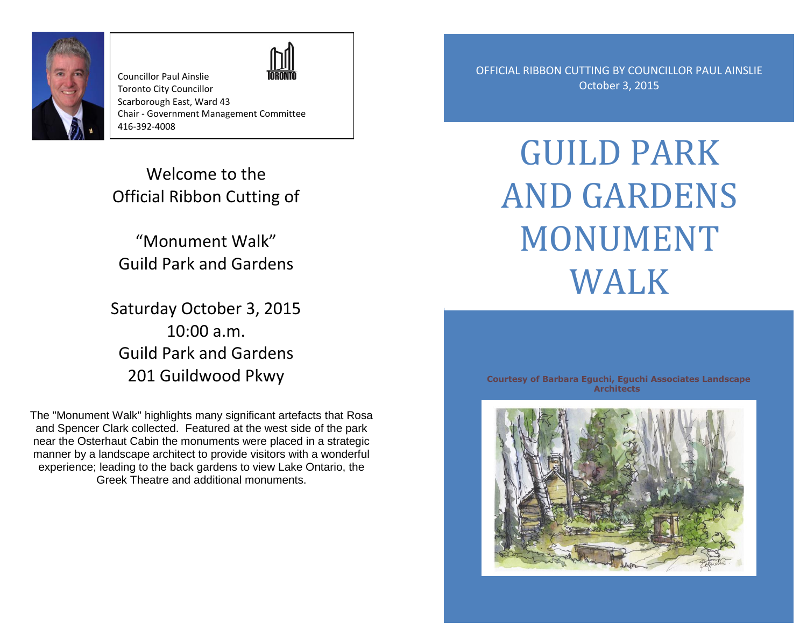

Councillor Paul Ainslie Toronto City Councillor Scarborough East, Ward 43 Chair - Government Management Committee 416-392-4008

Welcome to the Official Ribbon Cutting of

"Monument Walk" Guild Park and Gardens

Saturday October 3, 2015 10:00 a.m. Guild Park and Gardens 201 Guildwood Pkwy

The "Monument Walk" highlights many significant artefacts that Rosa and Spencer Clark collected. Featured at the west side of the park near the Osterhaut Cabin the monuments were placed in a strategic manner by a landscape architect to provide visitors with a wonderful experience; leading to the back gardens to view Lake Ontario, the Greek Theatre and additional monuments.

OFFICIAL RIBBON CUTTING BY COUNCILLOR PAUL AINSLIE October 3, 2015

GUILD PARK AND GARDENS MONUMENT WALK

#### **Courtesy of Barbara Eguchi, Eguchi Associates Landscape Architects**

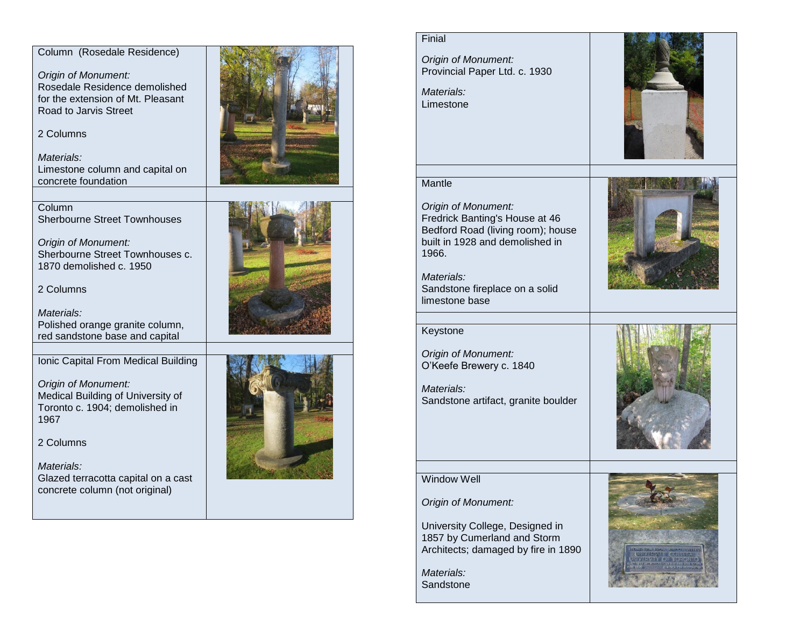Column (Rosedale Residence)

*Origin of Monument:*  Rosedale Residence demolished for the extension of Mt. Pleasant Road to Jarvis Street

2 Columns

*Materials:*  Limestone column and capital on concrete foundation

Column Sherbourne Street Townhouses

*Origin of Monument:* Sherbourne Street Townhouses c. 1870 demolished c. 1950

2 Columns

*Materials:*  Polished orange granite column, red sandstone base and capital

Ionic Capital From Medical Building

*Origin of Monument:*  Medical Building of University of Toronto c. 1904 ; demolished in 1967

2 Columns

*Materials:*  Glazed terracotta capital on a cast concrete column (not original)







## **Finial**

*Origin of Monument :* Provincial Paper Ltd. c . 1930

*Materials:* Limestone



## **Mantle**

*Origin of Monument :* Fredrick Banting's House at 46 Bedford Road (living room); house buil t in 1928 and demolished in 1966.

*Materials:* Sandstone fireplace on a solid limestone base

#### Keystone

*Origin of Monument :* O'Keefe Brewery c. 1840

*Materials:* Sandstone artifact, granite boulder





### Window Well

*Origin of Monument :*

University College, Designed in 1857 by Cumerland and Storm Architects ; damaged by fire in 1890

*Materials:* **Sandstone** 

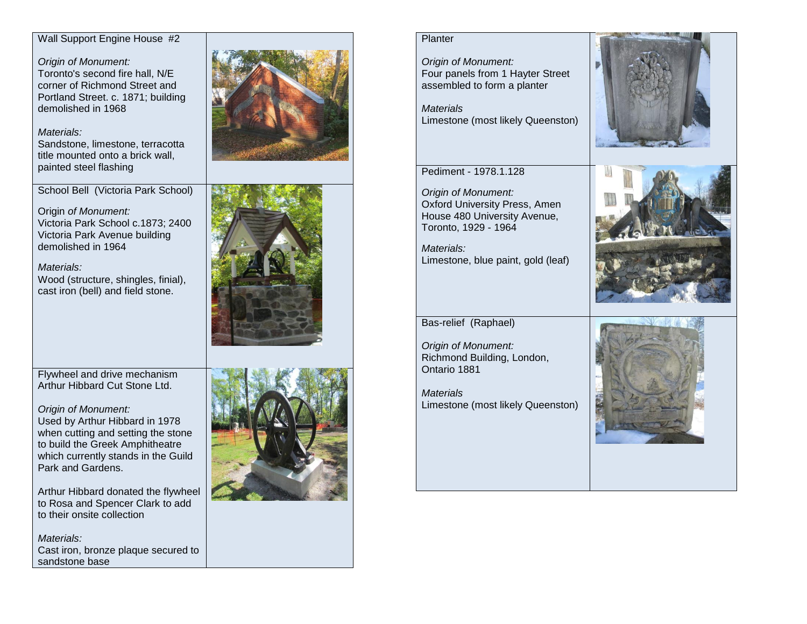

### Planter

*Origin of Monument :* Four panels from 1 Hayter Street assembled to form a planter

*Materials* Limestone (most likely Queenston)

Pediment - 1978.1.128

*Origin of Monument :* Oxford University Press , Amen House 480 University Avenue, Toronto, 1929 - 1964

*Materials :* Limestone, blue paint, gold (leaf)





Bas -relief (Raphael)

*Origin of Monument :* Richmond Building, London, Ontario 1881

*Materials* Limestone (most likely Queenston)